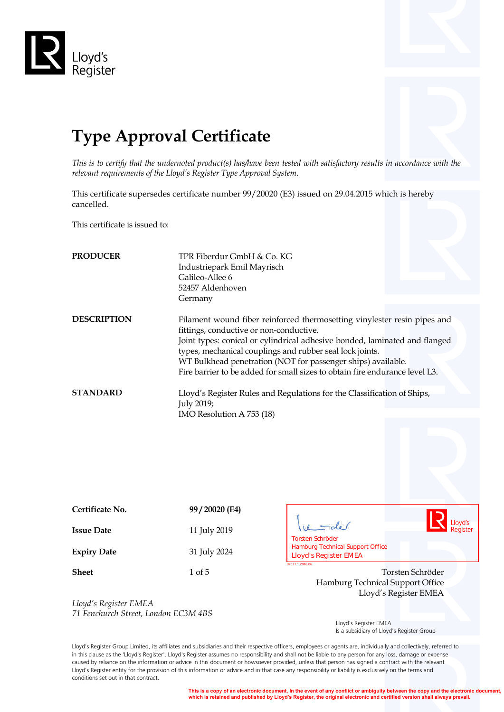

# **Type Approval Certificate**

*This is to certify that the undernoted product(s) has/have been tested with satisfactory results in accordance with the relevant requirements of the Lloyd's Register Type Approval System.*

This certificate supersedes certificate number 99/20020 (E3) issued on 29.04.2015 which is hereby cancelled.

This certificate is issued to:

| <b>PRODUCER</b>    | TPR Fiberdur GmbH & Co. KG<br>Industriepark Emil Mayrisch<br>Galileo-Allee 6<br>52457 Aldenhoven<br>Germany                                                                                                                                                                                                                                                                                                  |
|--------------------|--------------------------------------------------------------------------------------------------------------------------------------------------------------------------------------------------------------------------------------------------------------------------------------------------------------------------------------------------------------------------------------------------------------|
| <b>DESCRIPTION</b> | Filament wound fiber reinforced thermosetting vinylester resin pipes and<br>fittings, conductive or non-conductive.<br>Joint types: conical or cylindrical adhesive bonded, laminated and flanged<br>types, mechanical couplings and rubber seal lock joints.<br>WT Bulkhead penetration (NOT for passenger ships) available.<br>Fire barrier to be added for small sizes to obtain fire endurance level L3. |
| <b>STANDARD</b>    | Lloyd's Register Rules and Regulations for the Classification of Ships,<br>July 2019;<br>IMO Resolution A 753 (18)                                                                                                                                                                                                                                                                                           |

| Certificate No.    | 99/20020 (E4) |
|--------------------|---------------|
| <b>Issue Date</b>  | 11 July 2019  |
| <b>Expiry Date</b> | 31 July 2024  |
| <b>Sheet</b>       | 1 of 5        |



**Torsten Schröder** Hamburg Technical Support Office Lloyd's Register EMEA

*Lloyd's Register EMEA 71 Fenchurch Street, London EC3M 4BS*

 Lloyd's Register EMEA Is a subsidiary of Lloyd's Register Group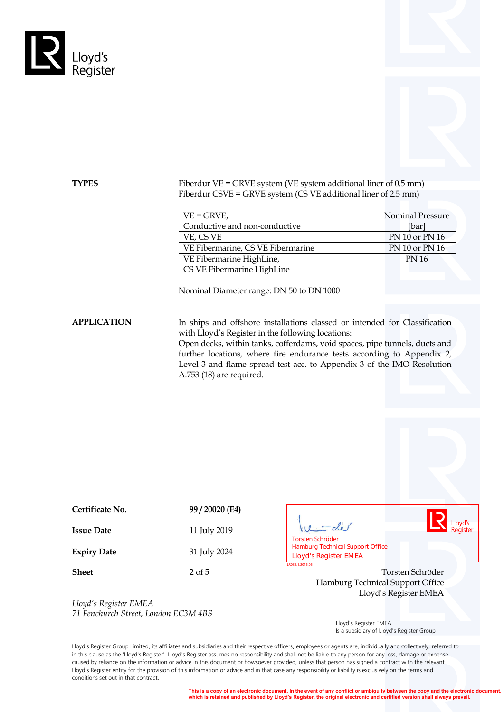



**TYPES** Fiberdur VE = GRVE system (VE system additional liner of 0.5 mm) Fiberdur CSVE = GRVE system (CS VE additional liner of 2.5 mm)

| $VE = GRVE$ ,                     | <b>Nominal Pressure</b> |
|-----------------------------------|-------------------------|
| Conductive and non-conductive     | [bar]                   |
| VE, CS VE                         | PN 10 or PN 16          |
| VE Fibermarine, CS VE Fibermarine | PN 10 or PN 16          |
| VE Fibermarine HighLine,          | PN 16                   |
| CS VE Fibermarine HighLine        |                         |

Nominal Diameter range: DN 50 to DN 1000

**APPLICATION** In ships and offshore installations classed or intended for Classification with Lloyd's Register in the following locations:

> Open decks, within tanks, cofferdams, void spaces, pipe tunnels, ducts and further locations, where fire endurance tests according to Appendix 2, Level 3 and flame spread test acc. to Appendix 3 of the IMO Resolution A.753 (18) are required.

| Certificate No.    | 99/20020 (E4) |
|--------------------|---------------|
| <b>Issue Date</b>  | 11 July 2019  |
| <b>Expiry Date</b> | 31 July 2024  |

 $u = de$ **Torsten Schröder<br>Hamburg Technical Support Office<br>Lloyd's Register EMEA** 



**Sheet** 2 of 5 2 of 5 Torsten Schröder Hamburg Technical Support Office Lloyd's Register EMEA

*Lloyd's Register EMEA 71 Fenchurch Street, London EC3M 4BS*

 Lloyd's Register EMEA Is a subsidiary of Lloyd's Register Group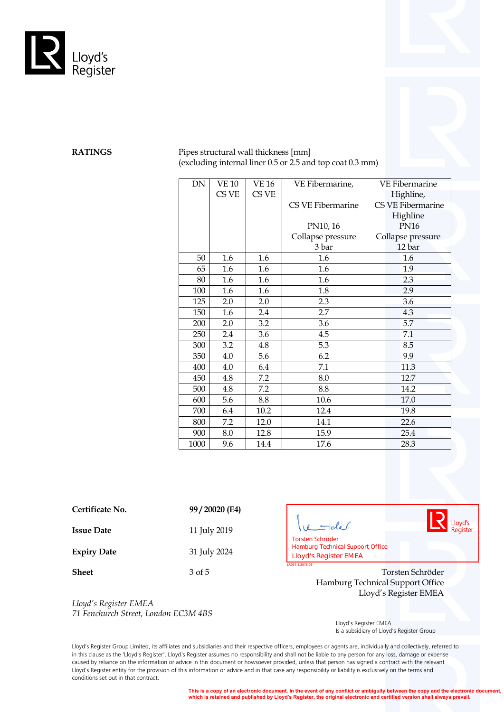

**RATINGS** Pipes structural wall thickness [mm] (excluding internal liner 0.5 or 2.5 and top coat 0.3 mm)

| DN   | <b>VE 10</b> | <b>VE 16</b> | VE Fibermarine,   | <b>VE Fibermarine</b>    |
|------|--------------|--------------|-------------------|--------------------------|
|      | CS VE        | CS VE        |                   | Highline,                |
|      |              |              | CS VE Fibermarine | <b>CS VE Fibermarine</b> |
|      |              |              |                   | Highline                 |
|      |              |              | PN10, 16          | <b>PN16</b>              |
|      |              |              | Collapse pressure | Collapse pressure        |
|      |              |              | 3 bar             | 12 bar                   |
| 50   | 1.6          | 1.6          | 1.6               | 1.6                      |
| 65   | 1.6          | 1.6          | 1.6               | 1.9                      |
| 80   | 1.6          | 1.6          | 1.6               | 2.3                      |
| 100  | 1.6          | 1.6          | 1.8               | 2.9                      |
| 125  | 2.0          | 2.0          | 2.3               | 3.6                      |
| 150  | 1.6          | 2.4          | 2.7               | 4.3                      |
| 200  | 2.0          | 3.2          | 3.6               | 5.7                      |
| 250  | 2.4          | 3.6          | 4.5               | 7.1                      |
| 300  | 3.2          | 4.8          | 5.3               | 8.5                      |
| 350  | 4.0          | 5.6          | 6.2               | 9.9                      |
| 400  | 4.0          | 6.4          | 7.1               | 11.3                     |
| 450  | 4.8          | 7.2          | 8.0               | 12.7                     |
| 500  | 4.8          | 7.2          | 8.8               | 14.2                     |
| 600  | 5.6          | 8.8          | 10.6              | 17.0                     |
| 700  | 6.4          | 10.2         | 12.4              | 19.8                     |
| 800  | 7.2          | 12.0         | 14.1              | 22.6                     |
| 900  | 8.0          | 12.8         | 15.9              | 25.4                     |
| 1000 | 9.6          | 14.4         | 17.6              | 28.3                     |

| Certificate No. | 99/20020 (E4) |
|-----------------|---------------|
|                 |               |

**Issue Date** 11 July 2019

**Expiry Date** 31 July 2024

*Lloyd's Register EMEA*

*71 Fenchurch Street, London EC3M 4BS*

Lloyd's  $u = du$ Register **LATRON TO SCHE CONTROM**<br>The Hamburg Technical Support Office<br>**The Schröder EMEA** 

**Sheet** 3 of 5 3 of 5 3 Organization 3 of 5 3 Organization 3 of 5 3 Organization 3 of 5 3 Organization 3 Organization 3 Organization 3 Organization 3 Organization 3 Organization 3 Organization 3 Organization 3 Organization Hamburg Technical Support Office Lloyd's Register EMEA

> Lloyd's Register EMEA Is a subsidiary of Lloyd's Register Group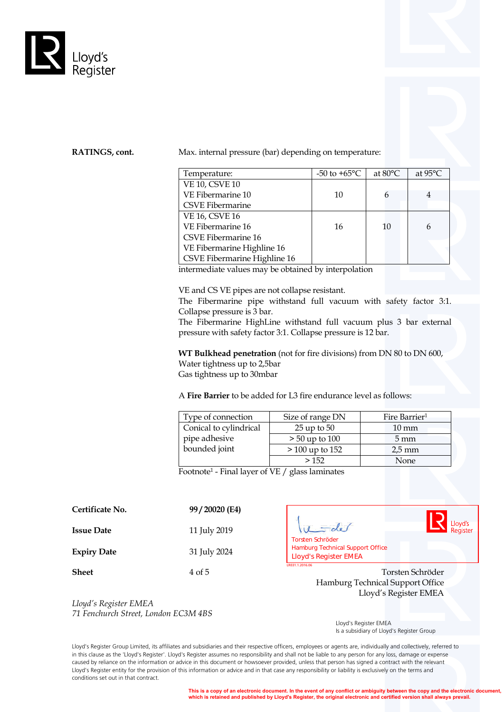

**RATINGS, cont.** Max. internal pressure (bar) depending on temperature:

| Temperature:                 | $-50$ to $+65^{\circ}$ C | at 80°C | at $95^{\circ}$ C |
|------------------------------|--------------------------|---------|-------------------|
| <b>VE 10, CSVE 10</b>        |                          |         |                   |
| VE Fibermarine 10            | 10                       |         |                   |
| <b>CSVE Fibermarine</b>      |                          |         |                   |
| <b>VE 16, CSVE 16</b>        |                          |         |                   |
| VE Fibermarine 16            | 16                       | 10      |                   |
| <b>CSVE Fibermarine 16</b>   |                          |         |                   |
| VE Fibermarine Highline 16   |                          |         |                   |
| CSVE Fibermarine Highline 16 |                          |         |                   |

intermediate values may be obtained by interpolation

VE and CS VE pipes are not collapse resistant.

The Fibermarine pipe withstand full vacuum with safety factor 3:1. Collapse pressure is 3 bar.

The Fibermarine HighLine withstand full vacuum plus 3 bar external pressure with safety factor 3:1. Collapse pressure is 12 bar.

**WT Bulkhead penetration** (not for fire divisions) from DN 80 to DN 600, Water tightness up to 2,5bar Gas tightness up to 30mbar

A **Fire Barrier** to be added for L3 fire endurance level as follows:

| Type of connection     | Size of range DN | Fire Barrier <sup>1</sup> |
|------------------------|------------------|---------------------------|
| Conical to cylindrical | $25$ up to $50$  | $10 \text{ mm}$           |
| pipe adhesive          | $> 50$ up to 100 | $5 \,\mathrm{mm}$         |
| bounded joint          | $>100$ up to 152 | $2.5 \text{ mm}$          |
|                        | >152             | None                      |

Footnote1 - Final layer of VE / glass laminates

| 11 July 2019 |
|--------------|
| 31 July 2024 |
|              |



**LACTER 1.2016.06 Torsten Schröder<br>
Lamburg Technical Support Office<br>
Lloyd's Register EMEA** 

**Sheet** 4 of 5 4 of 5 Torsten Schröder Hamburg Technical Support Office Lloyd's Register EMEA

*Lloyd's Register EMEA 71 Fenchurch Street, London EC3M 4BS*

 Lloyd's Register EMEA Is a subsidiary of Lloyd's Register Group